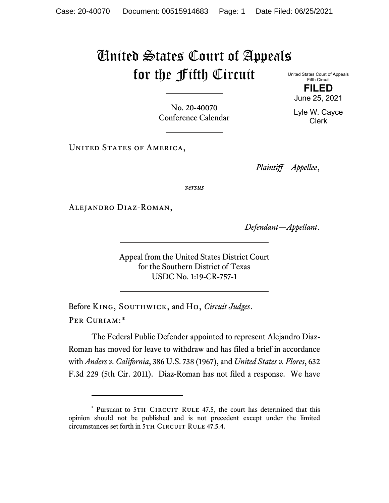## United States Court of Appeals for the Fifth Circuit

No. 20-40070 Conference Calendar

UNITED STATES OF AMERICA,

*Plaintiff—Appellee*,

*versus*

Alejandro Diaz-Roman,

*Defendant—Appellant*.

Appeal from the United States District Court for the Southern District of Texas USDC No. 1:19-CR-757-1

Before King, Southwick, and Ho, *Circuit Judges*. Per Curiam:[\\*](#page-0-0)

The Federal Public Defender appointed to represent Alejandro Diaz-Roman has moved for leave to withdraw and has filed a brief in accordance with *Anders v. California*, 386 U.S. 738 (1967), and *United States v. Flores*, 632 F.3d 229 (5th Cir. 2011). Diaz-Roman has not filed a response. We have

United States Court of Appeals Fifth Circuit **FILED**

June 25, 2021

Lyle W. Cayce Clerk

<span id="page-0-0"></span><sup>\*</sup> Pursuant to 5TH CIRCUIT RULE 47.5, the court has determined that this opinion should not be published and is not precedent except under the limited circumstances set forth in 5TH CIRCUIT RULE 47.5.4.